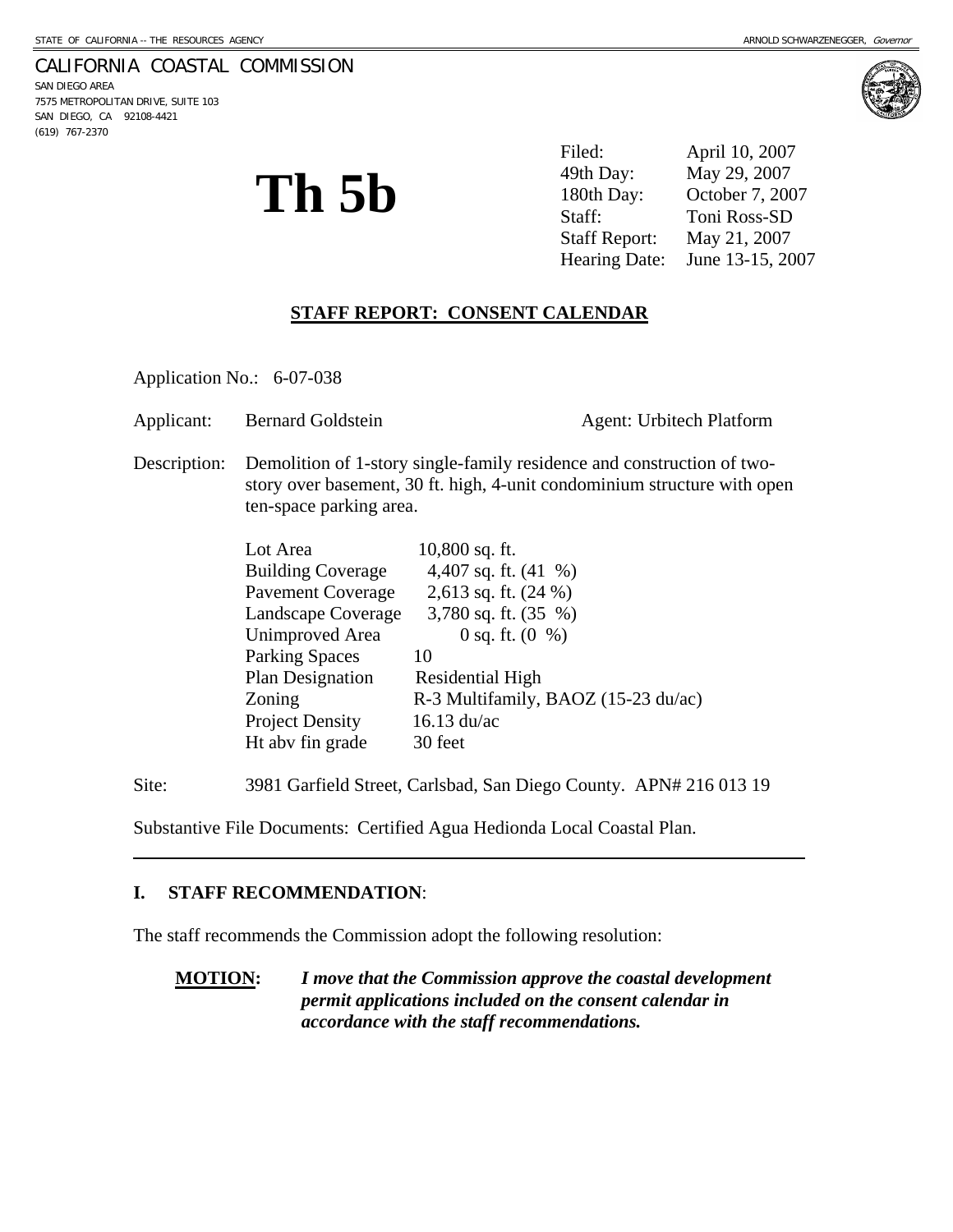### CALIFORNIA COASTAL COMMISSION

SAN DIEGO AREA 7575 METROPOLITAN DRIVE, SUITE 103 SAN DIEGO, CA 92108-4421 (619) 767-2370



**Th 5b** 

Filed: April 10, 2007 49th Day: May 29, 2007 180th Day: October 7, 2007 Staff: Toni Ross-SD Staff Report: May 21, 2007 Hearing Date: June 13-15, 2007

### **STAFF REPORT: CONSENT CALENDAR**

Application No.: 6-07-038

| Applicant:<br><b>Bernard Goldstein</b> | <b>Agent: Urbitech Platform</b> |
|----------------------------------------|---------------------------------|
|----------------------------------------|---------------------------------|

Description: Demolition of 1-story single-family residence and construction of twostory over basement, 30 ft. high, 4-unit condominium structure with open ten-space parking area.

| Lot Area                 | $10,800$ sq. ft.                    |
|--------------------------|-------------------------------------|
| <b>Building Coverage</b> | 4,407 sq. ft. $(41 \%)$             |
| <b>Pavement Coverage</b> | 2,613 sq. ft. (24 %)                |
| Landscape Coverage       | 3,780 sq. ft. $(35 \%)$             |
| <b>Unimproved Area</b>   | 0 sq. ft. $(0 \%)$                  |
| <b>Parking Spaces</b>    | 10                                  |
| Plan Designation         | Residential High                    |
| Zoning                   | R-3 Multifamily, BAOZ (15-23 du/ac) |
| <b>Project Density</b>   | $16.13 \text{ du/ac}$               |
| Ht abv fin grade         | 30 feet                             |

Site: 3981 Garfield Street, Carlsbad, San Diego County. APN# 216 013 19

Substantive File Documents: Certified Agua Hedionda Local Coastal Plan.

#### **I. STAFF RECOMMENDATION**:

 $\overline{a}$ 

The staff recommends the Commission adopt the following resolution:

**MOTION:** *I move that the Commission approve the coastal development permit applications included on the consent calendar in accordance with the staff recommendations.*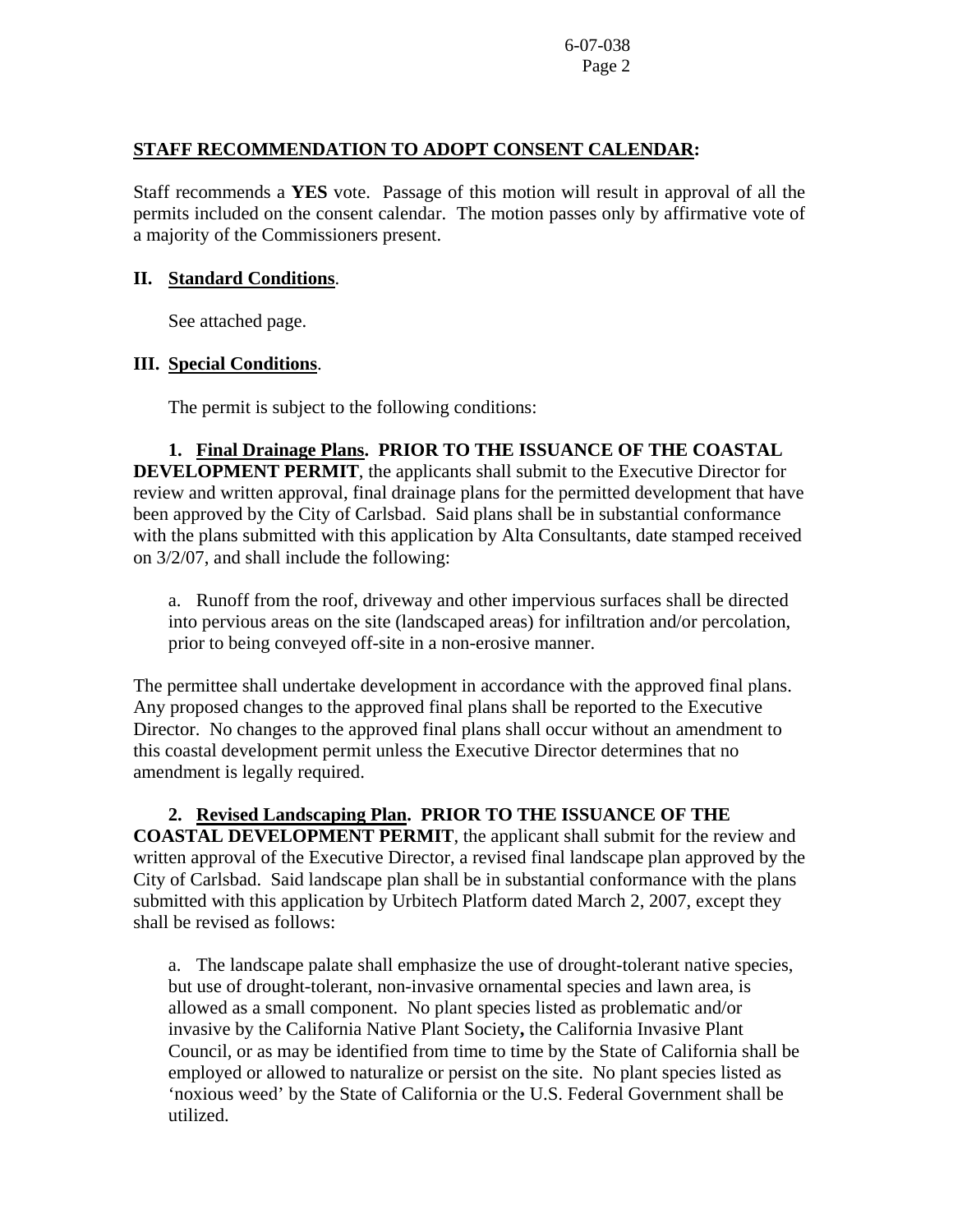### **STAFF RECOMMENDATION TO ADOPT CONSENT CALENDAR:**

Staff recommends a **YES** vote. Passage of this motion will result in approval of all the permits included on the consent calendar. The motion passes only by affirmative vote of a majority of the Commissioners present.

#### **II. Standard Conditions**.

See attached page.

### **III. Special Conditions**.

The permit is subject to the following conditions:

**1. Final Drainage Plans. PRIOR TO THE ISSUANCE OF THE COASTAL DEVELOPMENT PERMIT**, the applicants shall submit to the Executive Director for review and written approval, final drainage plans for the permitted development that have been approved by the City of Carlsbad. Said plans shall be in substantial conformance with the plans submitted with this application by Alta Consultants, date stamped received on 3/2/07, and shall include the following:

a. Runoff from the roof, driveway and other impervious surfaces shall be directed into pervious areas on the site (landscaped areas) for infiltration and/or percolation, prior to being conveyed off-site in a non-erosive manner.

The permittee shall undertake development in accordance with the approved final plans. Any proposed changes to the approved final plans shall be reported to the Executive Director. No changes to the approved final plans shall occur without an amendment to this coastal development permit unless the Executive Director determines that no amendment is legally required.

**2. Revised Landscaping Plan. PRIOR TO THE ISSUANCE OF THE COASTAL DEVELOPMENT PERMIT**, the applicant shall submit for the review and written approval of the Executive Director, a revised final landscape plan approved by the City of Carlsbad. Said landscape plan shall be in substantial conformance with the plans submitted with this application by Urbitech Platform dated March 2, 2007, except they shall be revised as follows:

a. The landscape palate shall emphasize the use of drought-tolerant native species, but use of drought-tolerant, non-invasive ornamental species and lawn area, is allowed as a small component. No plant species listed as problematic and/or invasive by the California Native Plant Society**,** the California Invasive Plant Council, or as may be identified from time to time by the State of California shall be employed or allowed to naturalize or persist on the site. No plant species listed as 'noxious weed' by the State of California or the U.S. Federal Government shall be utilized.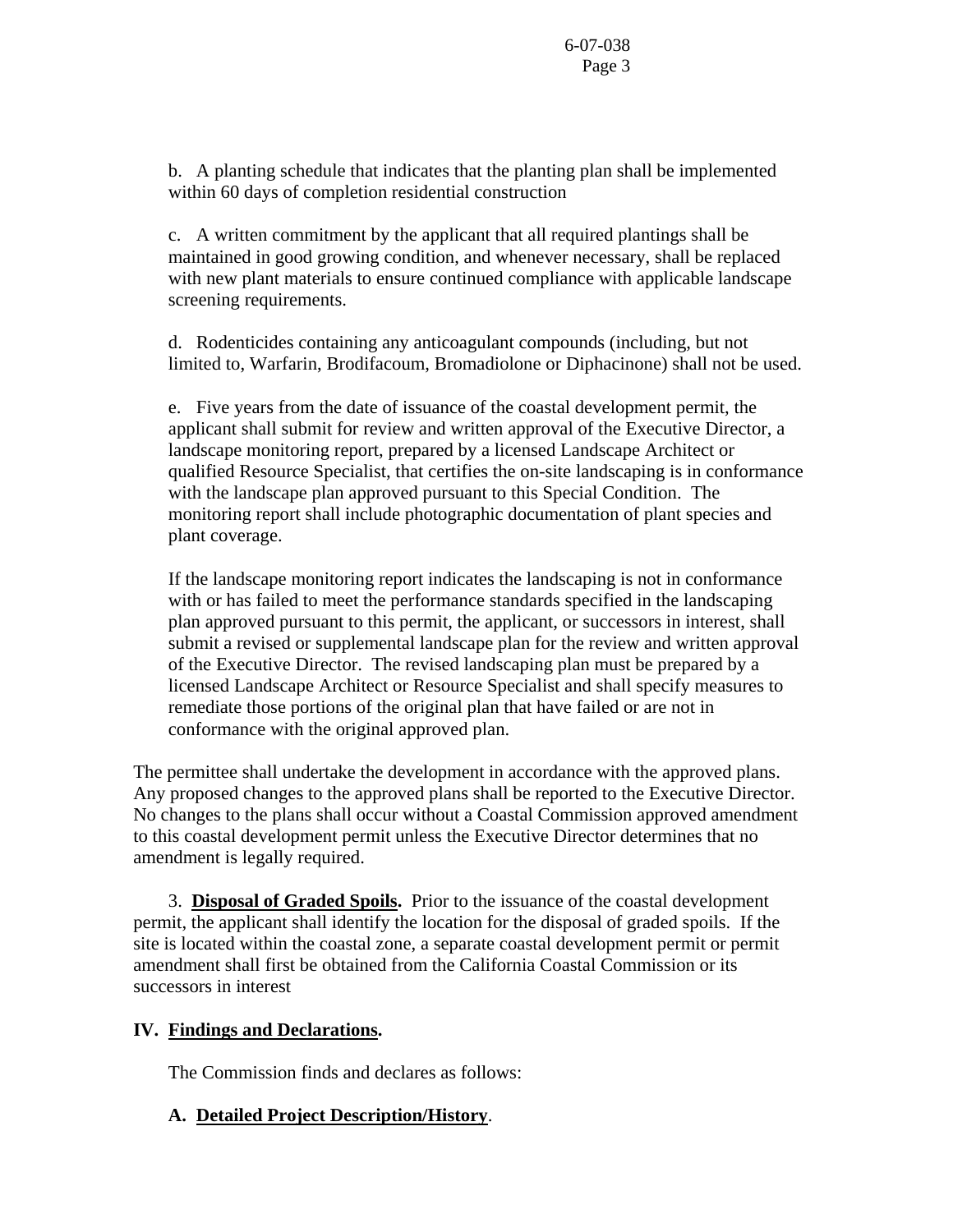b. A planting schedule that indicates that the planting plan shall be implemented within 60 days of completion residential construction

c. A written commitment by the applicant that all required plantings shall be maintained in good growing condition, and whenever necessary, shall be replaced with new plant materials to ensure continued compliance with applicable landscape screening requirements.

d. Rodenticides containing any anticoagulant compounds (including, but not limited to, Warfarin, Brodifacoum, Bromadiolone or Diphacinone) shall not be used.

e. Five years from the date of issuance of the coastal development permit, the applicant shall submit for review and written approval of the Executive Director, a landscape monitoring report, prepared by a licensed Landscape Architect or qualified Resource Specialist, that certifies the on-site landscaping is in conformance with the landscape plan approved pursuant to this Special Condition. The monitoring report shall include photographic documentation of plant species and plant coverage.

If the landscape monitoring report indicates the landscaping is not in conformance with or has failed to meet the performance standards specified in the landscaping plan approved pursuant to this permit, the applicant, or successors in interest, shall submit a revised or supplemental landscape plan for the review and written approval of the Executive Director. The revised landscaping plan must be prepared by a licensed Landscape Architect or Resource Specialist and shall specify measures to remediate those portions of the original plan that have failed or are not in conformance with the original approved plan.

The permittee shall undertake the development in accordance with the approved plans. Any proposed changes to the approved plans shall be reported to the Executive Director. No changes to the plans shall occur without a Coastal Commission approved amendment to this coastal development permit unless the Executive Director determines that no amendment is legally required.

 3. **Disposal of Graded Spoils.** Prior to the issuance of the coastal development permit, the applicant shall identify the location for the disposal of graded spoils. If the site is located within the coastal zone, a separate coastal development permit or permit amendment shall first be obtained from the California Coastal Commission or its successors in interest

# **IV. Findings and Declarations.**

The Commission finds and declares as follows:

# **A. Detailed Project Description/History**.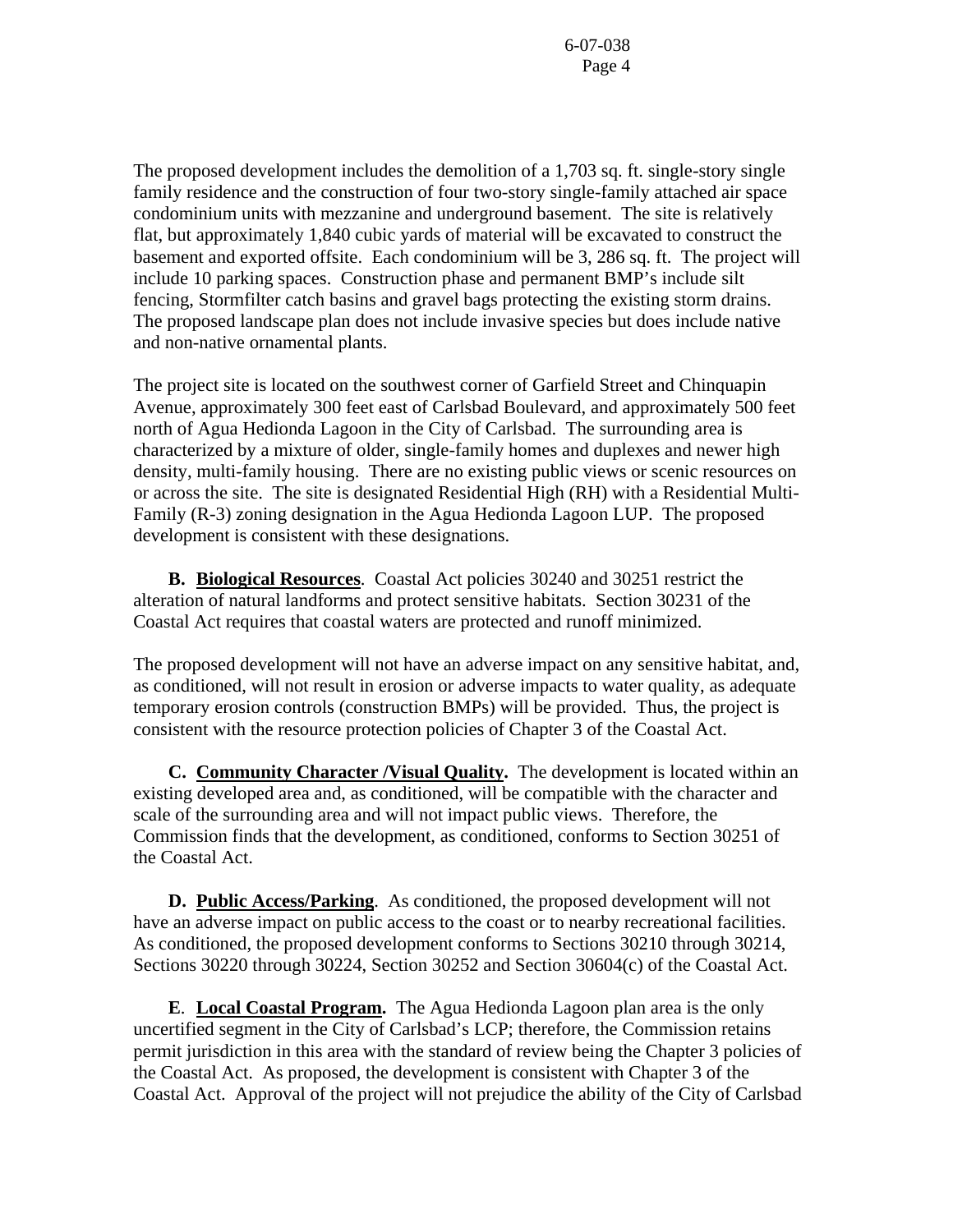The proposed development includes the demolition of a 1,703 sq. ft. single-story single family residence and the construction of four two-story single-family attached air space condominium units with mezzanine and underground basement. The site is relatively flat, but approximately 1,840 cubic yards of material will be excavated to construct the basement and exported offsite. Each condominium will be 3, 286 sq. ft. The project will include 10 parking spaces. Construction phase and permanent BMP's include silt fencing, Stormfilter catch basins and gravel bags protecting the existing storm drains. The proposed landscape plan does not include invasive species but does include native and non-native ornamental plants.

The project site is located on the southwest corner of Garfield Street and Chinquapin Avenue, approximately 300 feet east of Carlsbad Boulevard, and approximately 500 feet north of Agua Hedionda Lagoon in the City of Carlsbad. The surrounding area is characterized by a mixture of older, single-family homes and duplexes and newer high density, multi-family housing. There are no existing public views or scenic resources on or across the site. The site is designated Residential High (RH) with a Residential Multi-Family (R-3) zoning designation in the Agua Hedionda Lagoon LUP. The proposed development is consistent with these designations.

 **B. Biological Resources**. Coastal Act policies 30240 and 30251 restrict the alteration of natural landforms and protect sensitive habitats. Section 30231 of the Coastal Act requires that coastal waters are protected and runoff minimized.

The proposed development will not have an adverse impact on any sensitive habitat, and, as conditioned, will not result in erosion or adverse impacts to water quality, as adequate temporary erosion controls (construction BMPs) will be provided. Thus, the project is consistent with the resource protection policies of Chapter 3 of the Coastal Act.

 **C. Community Character /Visual Quality.** The development is located within an existing developed area and, as conditioned, will be compatible with the character and scale of the surrounding area and will not impact public views. Therefore, the Commission finds that the development, as conditioned, conforms to Section 30251 of the Coastal Act.

**D. Public Access/Parking**. As conditioned, the proposed development will not have an adverse impact on public access to the coast or to nearby recreational facilities. As conditioned, the proposed development conforms to Sections 30210 through 30214, Sections 30220 through 30224, Section 30252 and Section 30604(c) of the Coastal Act.

**E**. **Local Coastal Program.** The Agua Hedionda Lagoon plan area is the only uncertified segment in the City of Carlsbad's LCP; therefore, the Commission retains permit jurisdiction in this area with the standard of review being the Chapter 3 policies of the Coastal Act. As proposed, the development is consistent with Chapter 3 of the Coastal Act. Approval of the project will not prejudice the ability of the City of Carlsbad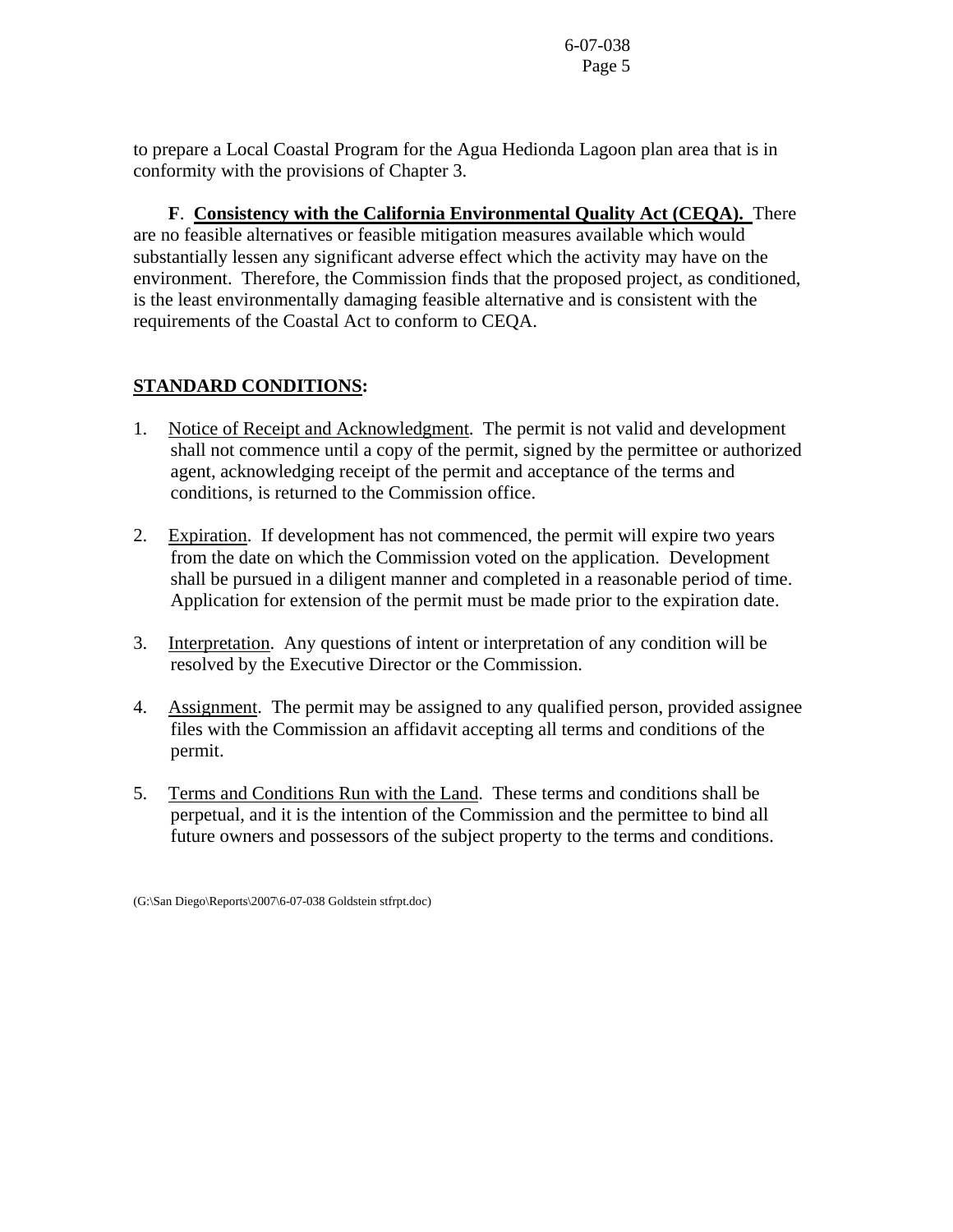to prepare a Local Coastal Program for the Agua Hedionda Lagoon plan area that is in conformity with the provisions of Chapter 3.

 **F**. **Consistency with the California Environmental Quality Act (CEQA).** There are no feasible alternatives or feasible mitigation measures available which would substantially lessen any significant adverse effect which the activity may have on the environment. Therefore, the Commission finds that the proposed project, as conditioned, is the least environmentally damaging feasible alternative and is consistent with the requirements of the Coastal Act to conform to CEQA.

# **STANDARD CONDITIONS:**

- 1. Notice of Receipt and Acknowledgment. The permit is not valid and development shall not commence until a copy of the permit, signed by the permittee or authorized agent, acknowledging receipt of the permit and acceptance of the terms and conditions, is returned to the Commission office.
- 2. Expiration. If development has not commenced, the permit will expire two years from the date on which the Commission voted on the application. Development shall be pursued in a diligent manner and completed in a reasonable period of time. Application for extension of the permit must be made prior to the expiration date.
- 3. Interpretation. Any questions of intent or interpretation of any condition will be resolved by the Executive Director or the Commission.
- 4. Assignment. The permit may be assigned to any qualified person, provided assignee files with the Commission an affidavit accepting all terms and conditions of the permit.
- 5. Terms and Conditions Run with the Land. These terms and conditions shall be perpetual, and it is the intention of the Commission and the permittee to bind all future owners and possessors of the subject property to the terms and conditions.

<sup>(</sup>G:\San Diego\Reports\2007\6-07-038 Goldstein stfrpt.doc)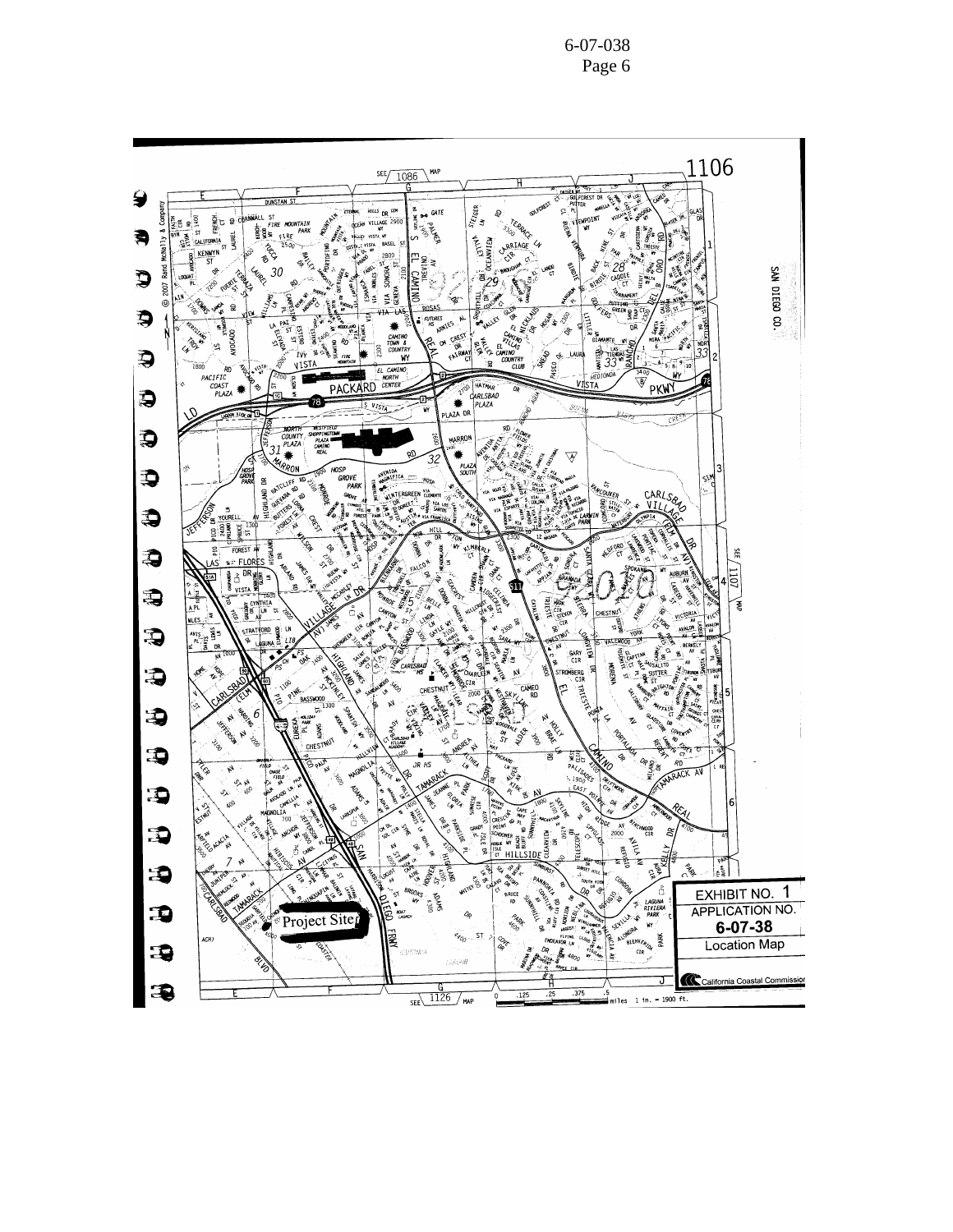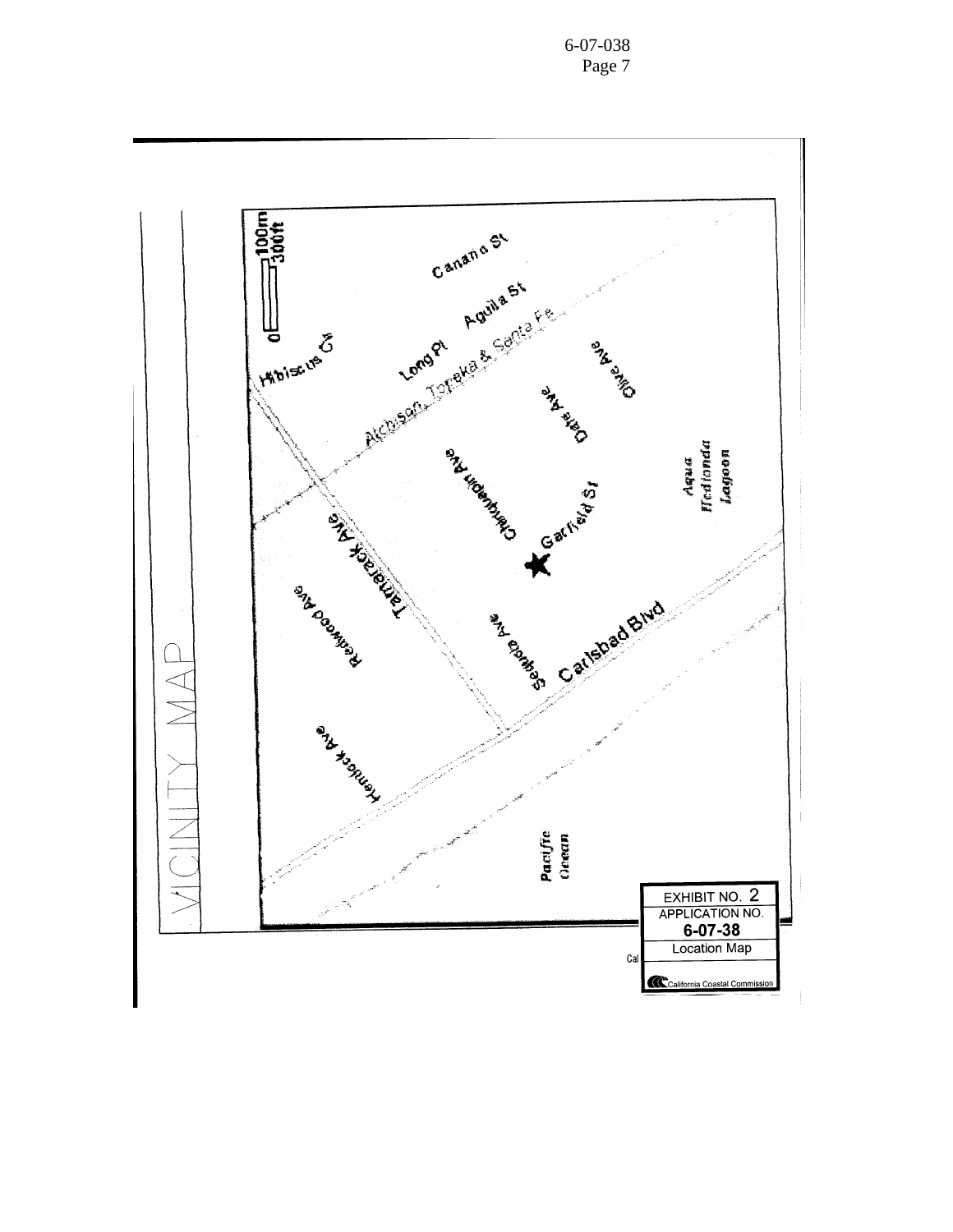